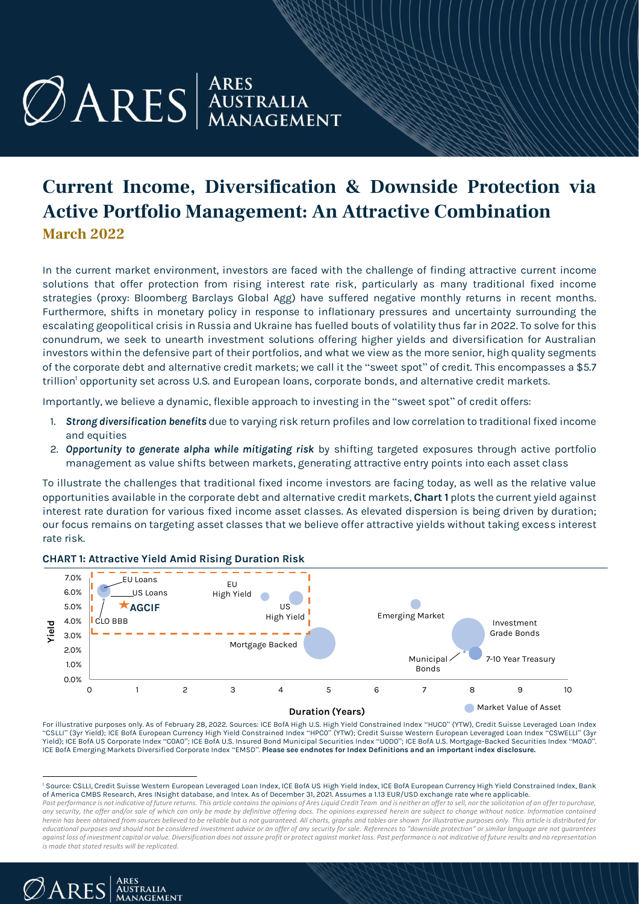# $\mathcal{O}$  ARES AUSTRALIA

# **Current Income, Diversification & Downside Protection via Active Portfolio Management: An Attractive Combination March 2022**

In the current market environment, investors are faced with the challenge of finding attractive current income solutions that offer protection from rising interest rate risk, particularly as many traditional fixed income strategies (proxy: Bloomberg Barclays Global Agg) have suffered negative monthly returns in recent months. Furthermore, shifts in monetary policy in response to inflationary pressures and uncertainty surrounding the escalating geopolitical crisis in Russia and Ukraine has fuelled bouts of volatility thus far in 2022. To solve for this conundrum, we seek to unearth investment solutions offering higher yields and diversification for Australian investors within the defensive part of their portfolios, and what we view as the more senior, high quality segments of the corporate debt and alternative credit markets; we call it the "sweet spot" of credit. This encompasses a \$5.7 trillion<sup>1</sup> opportunity set across U.S. and European loans, corporate bonds, and alternative credit markets.

Importantly, we believe a dynamic, flexible approach to investing in the "sweet spot" of credit offers:

- 1. *Strong diversification benefits* due to varying risk return profiles and low correlation to traditional fixed income and equities
- 2. *Opportunity to generate alpha while mitigating risk* by shifting targeted exposures through active portfolio management as value shifts between markets, generating attractive entry points into each asset class

To illustrate the challenges that traditional fixed income investors are facing today, as well as the relative value opportunities available in the corporate debt and alternative credit markets, **Chart 1** plots the current yield against interest rate duration for various fixed income asset classes. As elevated dispersion is being driven by duration; our focus remains on targeting asset classes that we believe offer attractive yields without taking excess interest rate risk.



#### **CHART 1: Attractive Yield Amid Rising Duration Risk**

For illustrative purposes only. As of February 28, 2022. Sources: ICE BofA High U.S. High Yield Constrained Index "HUC0" (YTW), Credit Suisse Leveraged Loan Index "CSLLI" (3yr Yield); ICE BofA European Currency High Yield Constrained Index "HPC0" (YTW); Credit Suisse Western European Leveraged Loan Index "CSWELLI" (3yr Yield); ICE BofA US Corporate Index "C0A0"; ICE BofA U.S. Insured Bond Municipal Securities Index "U0D0"; ICE BofA U.S. Mortgage-Backed Securities Index "M0A0". ICE BofA Emerging Markets Diversified Corporate Index "EMSD". **Please see endnotes for Index Definitions and an important index disclosure.**

*Past performance is not indicative of future returns. This article contains the opinions of Ares Liquid Credit Team and is neither an offer to sell, nor the solicitation of an offer to purchase,*  any security, the offer and/or sale of which can only be made by definitive offering docs. The opinions expressed herein are subject to change without notice. Information contained *herein has been obtained from sources believed to be reliable but is not guaranteed. All charts, graphs and tables are shown for illustrative purposes only. This article is distributed for educational purposes and should not be considered investment advice or an offer of any security for sale. References to "downside protection" or similar language are not guarantees against loss of investment capital or value. Diversification does not assure profit or protect against market loss. Past performance is not indicative of future results and no representation is made that stated results will be replicated.*



<sup>&</sup>lt;sup>1</sup> Source: CSLLI, Credit Suisse Western European Leveraged Loan Index, ICE BofA US High Yield Index, ICE BofA European Currency High Yield Constrained Index, Bank of America CMBS Research, Ares INsight database, and Intex. As of December 31, 2021. Assumes a 1.13 EUR/USD exchange rate where applicable.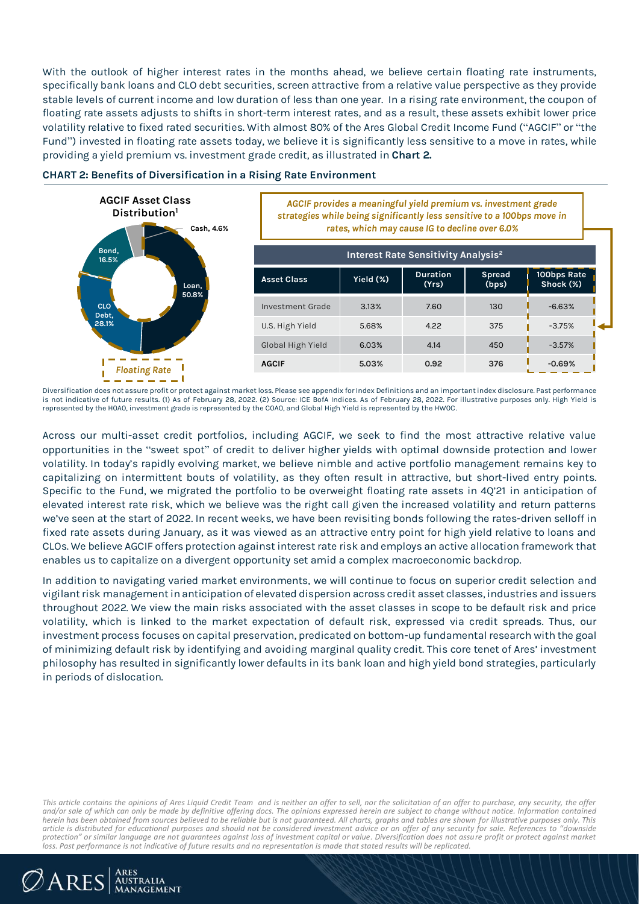With the outlook of higher interest rates in the months ahead, we believe certain floating rate instruments, specifically bank loans and CLO debt securities, screen attractive from a relative value perspective as they provide stable levels of current income and low duration of less than one year. In a rising rate environment, the coupon of floating rate assets adjusts to shifts in short-term interest rates, and as a result, these assets exhibit lower price volatility relative to fixed rated securities. With almost 80% of the Ares Global Credit Income Fund ("AGCIF" or "the Fund") invested in floating rate assets today, we believe it is significantly less sensitive to a move in rates, while providing a yield premium vs. investment grade credit, as illustrated in **Chart 2.** 



**CHART 2: Benefits of Diversification in a Rising Rate Environment**

*AGCIF provides a meaningful yield premium vs. investment grade strategies while being significantly less sensitive to a 100bps move in rates, which may cause IG to decline over 6.0%*

| Interest Rate Sensitivity Analysis <sup>2</sup> |           |                          |                        |                          |
|-------------------------------------------------|-----------|--------------------------|------------------------|--------------------------|
| <b>Asset Class</b>                              | Yield (%) | <b>Duration</b><br>(Yrs) | <b>Spread</b><br>(bps) | 100bps Rate<br>Shock (%) |
| Investment Grade                                | 3.13%     | 7.60                     | 130                    | $-6.63%$                 |
| U.S. High Yield                                 | 5.68%     | 4.22                     | 375                    | $-3.75%$                 |
| Global High Yield                               | 6.03%     | 4.14                     | 450                    | $-3.57%$                 |
| <b>AGCIF</b>                                    | 5.03%     | 0.92                     | 376                    | $-0.69%$                 |

Diversification does not assure profit or protect against market loss. Please see appendix for Index Definitions and an important index disclosure. Past performance is not indicative of future results. (1) As of February 28, 2022. (2) Source: ICE BofA Indices. As of February 28, 2022. For illustrative purposes only. High Yield is represented by the H0A0, investment grade is represented by the C0A0, and Global High Yield is represented by the HW0C.

Across our multi-asset credit portfolios, including AGCIF, we seek to find the most attractive relative value opportunities in the "sweet spot" of credit to deliver higher yields with optimal downside protection and lower volatility. In today's rapidly evolving market, we believe nimble and active portfolio management remains key to capitalizing on intermittent bouts of volatility, as they often result in attractive, but short-lived entry points. Specific to the Fund, we migrated the portfolio to be overweight floating rate assets in 4Q'21 in anticipation of elevated interest rate risk, which we believe was the right call given the increased volatility and return patterns we've seen at the start of 2022. In recent weeks, we have been revisiting bonds following the rates-driven selloff in fixed rate assets during January, as it was viewed as an attractive entry point for high yield relative to loans and CLOs. We believe AGCIF offers protection against interest rate risk and employs an active allocation framework that enables us to capitalize on a divergent opportunity set amid a complex macroeconomic backdrop.

In addition to navigating varied market environments, we will continue to focus on superior credit selection and vigilant risk management in anticipation of elevated dispersion across credit asset classes, industries and issuers throughout 2022. We view the main risks associated with the asset classes in scope to be default risk and price volatility, which is linked to the market expectation of default risk, expressed via credit spreads. Thus, our investment process focuses on capital preservation, predicated on bottom-up fundamental research with the goal of minimizing default risk by identifying and avoiding marginal quality credit. This core tenet of Ares' investment philosophy has resulted in significantly lower defaults in its bank loan and high yield bond strategies, particularly in periods of dislocation.

This article contains the opinions of Ares Liquid Credit Team and is neither an offer to sell, nor the solicitation of an offer to purchase, any security, the offer<br>and/or sale of which can only be made by definitive offer *herein has been obtained from sources believed to be reliable but is not guaranteed. All charts, graphs and tables are shown for illustrative purposes only. This article is distributed for educational purposes and should not be considered investment advice or an offer of any security for sale. References to "downside protection" or similar language are not guarantees against loss of investment capital or value. Diversification does not assure profit or protect against market loss. Past performance is not indicative of future results and no representation is made that stated results will be replicated.*

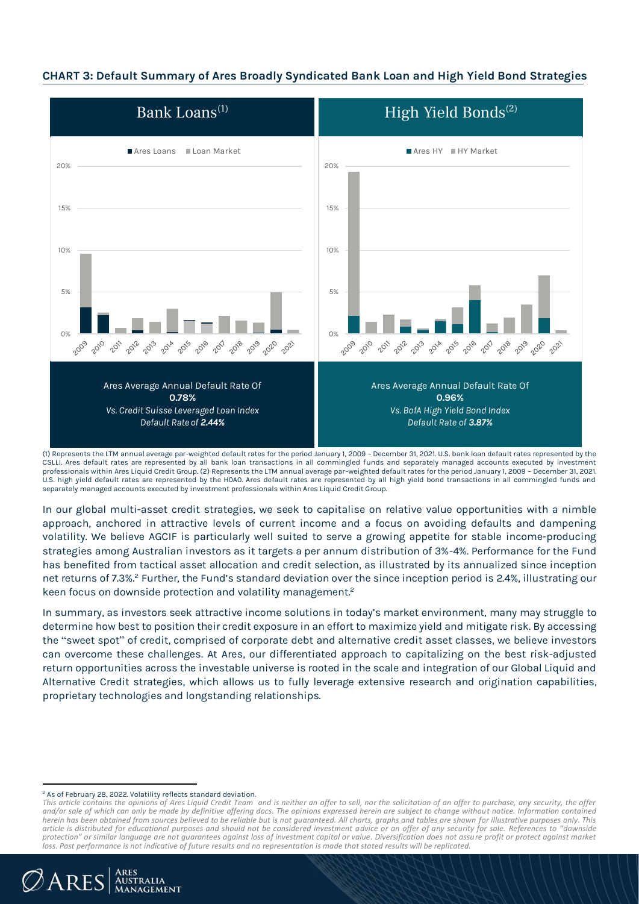#### **CHART 3: Default Summary of Ares Broadly Syndicated Bank Loan and High Yield Bond Strategies**



(1) Represents the LTM annual average par-weighted default rates for the period January 1, 2009 – December 31, 2021. U.S. bank loan default rates represented by the CSLLI. Ares default rates are represented by all bank loan transactions in all commingled funds and separately managed accounts executed by investment professionals within Ares Liquid Credit Group. (2) Represents the LTM annual average par-weighted default rates for the period January 1, 2009 – December 31, 2021. U.S. high yield default rates are represented by the H0A0. Ares default rates are represented by all high yield bond transactions in all commingled funds and separately managed accounts executed by investment professionals within Ares Liquid Credit Group.

In our global multi-asset credit strategies, we seek to capitalise on relative value opportunities with a nimble approach, anchored in attractive levels of current income and a focus on avoiding defaults and dampening volatility. We believe AGCIF is particularly well suited to serve a growing appetite for stable income-producing strategies among Australian investors as it targets a per annum distribution of 3%-4%. Performance for the Fund has benefited from tactical asset allocation and credit selection, as illustrated by its annualized since inception net returns of 7.3%.<sup>2</sup> Further, the Fund's standard deviation over the since inception period is 2.4%, illustrating our keen focus on downside protection and volatility management. 2

In summary, as investors seek attractive income solutions in today's market environment, many may struggle to determine how best to position their credit exposure in an effort to maximize yield and mitigate risk. By accessing the "sweet spot" of credit, comprised of corporate debt and alternative credit asset classes, we believe investors can overcome these challenges. At Ares, our differentiated approach to capitalizing on the best risk-adjusted return opportunities across the investable universe is rooted in the scale and integration of our Global Liquid and Alternative Credit strategies, which allows us to fully leverage extensive research and origination capabilities, proprietary technologies and longstanding relationships.

ARES<br>Australia<br>Management

 $\mathcal{O}$ ARES

<sup>&</sup>lt;sup>2</sup> As of February 28, 2022. Volatility reflects standard deviation.

This article contains the opinions of Ares Liquid Credit Team and is neither an offer to sell, nor the solicitation of an offer to purchase, any security, the offer<br>and/or sale of which can only be made by definitive offer *herein has been obtained from sources believed to be reliable but is not guaranteed. All charts, graphs and tables are shown for illustrative purposes only. This article is distributed for educational purposes and should not be considered investment advice or an offer of any security for sale. References to "downside protection" or similar language are not guarantees against loss of investment capital or value. Diversification does not assure profit or protect against market loss. Past performance is not indicative of future results and no representation is made that stated results will be replicated.*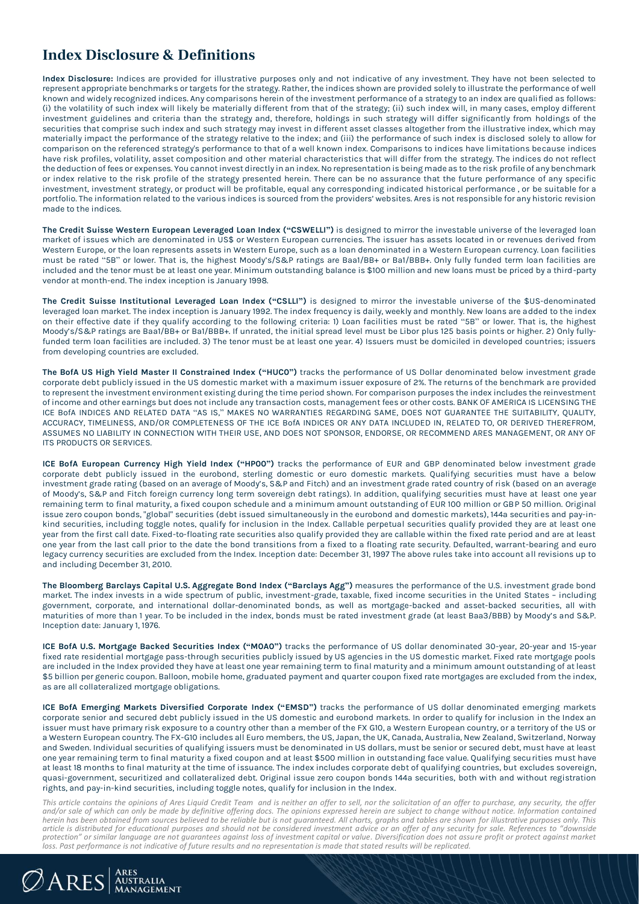## **Index Disclosure & Definitions**

**Index Disclosure:** Indices are provided for illustrative purposes only and not indicative of any investment. They have not been selected to represent appropriate benchmarks or targets for the strategy. Rather, the indices shown are provided solely to illustrate the performance of well known and widely recognized indices. Any comparisons herein of the investment performance of a strategy to an index are qualified as follows: (i) the volatility of such index will likely be materially different from that of the strategy; (ii) such index will, in many cases, employ different investment guidelines and criteria than the strategy and, therefore, holdings in such strategy will differ significantly from holdings of the securities that comprise such index and such strategy may invest in different asset classes altogether from the illustrative index, which may materially impact the performance of the strategy relative to the index; and (iii) the performance of such index is disclosed solely to allow for comparison on the referenced strategy's performance to that of a well known index. Comparisons to indices have limitations because indices have risk profiles, volatility, asset composition and other material characteristics that will differ from the strategy. The indices do not reflect the deduction of fees or expenses. You cannot invest directly in an index. No representation is being made as to the risk profile of any benchmark or index relative to the risk profile of the strategy presented herein. There can be no assurance that the future performance of any specific investment, investment strategy, or product will be profitable, equal any corresponding indicated historical performance , or be suitable for a portfolio. The information related to the various indices is sourced from the providers' websites. Ares is not responsible for any historic revision made to the indices.

**The Credit Suisse Western European Leveraged Loan Index ("CSWELLI")** is designed to mirror the investable universe of the leveraged loan market of issues which are denominated in US\$ or Western European currencies. The issuer has assets located in or revenues derived from Western Europe, or the loan represents assets in Western Europe, such as a loan denominated in a Western European currency. Loan facilities must be rated "5B" or lower. That is, the highest Moody's/S&P ratings are Baa1/BB+ or Ba1/BBB+. Only fully funded term loan facilities are included and the tenor must be at least one year. Minimum outstanding balance is \$100 million and new loans must be priced by a third-party vendor at month-end. The index inception is January 1998.

**The Credit Suisse Institutional Leveraged Loan Index ("CSLLI")** is designed to mirror the investable universe of the \$US-denominated leveraged loan market. The index inception is January 1992. The index frequency is daily, weekly and monthly. New loans are added to the index on their effective date if they qualify according to the following criteria: 1) Loan facilities must be rated "5B" or lower. That is, the highest Moody's/S&P ratings are Baa1/BB+ or Ba1/BBB+. If unrated, the initial spread level must be Libor plus 125 basis points or higher. 2) Only fullyfunded term loan facilities are included. 3) The tenor must be at least one year. 4) Issuers must be domiciled in developed countries; issuers from developing countries are excluded.

**The BofA US High Yield Master II Constrained Index ("HUC0")** tracks the performance of US Dollar denominated below investment grade corporate debt publicly issued in the US domestic market with a maximum issuer exposure of 2%. The returns of the benchmark are provided to represent the investment environment existing during the time period shown. For comparison purposes the index includes the reinvestment of income and other earnings but does not include any transaction costs, management fees or other costs. BANK OF AMERICA IS LICENSING THE ICE BofA INDICES AND RELATED DATA "AS IS," MAKES NO WARRANTIES REGARDING SAME, DOES NOT GUARANTEE THE SUITABILITY, QUALITY, ACCURACY, TIMELINESS, AND/OR COMPLETENESS OF THE ICE BofA INDICES OR ANY DATA INCLUDED IN, RELATED TO, OR DERIVED THEREFROM, ASSUMES NO LIABILITY IN CONNECTION WITH THEIR USE, AND DOES NOT SPONSOR, ENDORSE, OR RECOMMEND ARES MANAGEMENT, OR ANY OF ITS PRODUCTS OR SERVICES.

**ICE BofA European Currency High Yield Index ("HP00")** tracks the performance of EUR and GBP denominated below investment grade corporate debt publicly issued in the eurobond, sterling domestic or euro domestic markets. Qualifying securities must have a below investment grade rating (based on an average of Moody's, S&P and Fitch) and an investment grade rated country of risk (based on an average of Moody's, S&P and Fitch foreign currency long term sovereign debt ratings). In addition, qualifying securities must have at least one year remaining term to final maturity, a fixed coupon schedule and a minimum amount outstanding of EUR 100 million or GBP 50 million. Original issue zero coupon bonds, "global" securities (debt issued simultaneously in the eurobond and domestic markets), 144a securities and pay-inkind securities, including toggle notes, qualify for inclusion in the Index. Callable perpetual securities qualify provided they are at least one year from the first call date. Fixed-to-floating rate securities also qualify provided they are callable within the fixed rate period and are at least one year from the last call prior to the date the bond transitions from a fixed to a floating rate security. Defaulted, warrant-bearing and euro legacy currency securities are excluded from the Index. Inception date: December 31, 1997 The above rules take into account all revisions up to and including December 31, 2010.

**The Bloomberg Barclays Capital U.S. Aggregate Bond Index ("Barclays Agg")** measures the performance of the U.S. investment grade bond market. The index invests in a wide spectrum of public, investment-grade, taxable, fixed income securities in the United States – including government, corporate, and international dollar-denominated bonds, as well as mortgage-backed and asset-backed securities, all with maturities of more than 1 year. To be included in the index, bonds must be rated investment grade (at least Baa3/BBB) by Moody's and S&P. Inception date: January 1, 1976.

**ICE BofA U.S. Mortgage Backed Securities Index ("M0A0")** tracks the performance of US dollar denominated 30-year, 20-year and 15-year fixed rate residential mortgage pass-through securities publicly issued by US agencies in the US domestic market. Fixed rate mortgage pools are included in the Index provided they have at least one year remaining term to final maturity and a minimum amount outstanding of at least \$5 billion per generic coupon. Balloon, mobile home, graduated payment and quarter coupon fixed rate mortgages are excluded from the index, as are all collateralized mortgage obligations.

**ICE BofA Emerging Markets Diversified Corporate Index ("EMSD")** tracks the performance of US dollar denominated emerging markets corporate senior and secured debt publicly issued in the US domestic and eurobond markets. In order to qualify for inclusion in the Index an issuer must have primary risk exposure to a country other than a member of the FX G10, a Western European country, or a territory of the US or a Western European country. The FX-G10 includes all Euro members, the US, Japan, the UK, Canada, Australia, New Zealand, Switzerland, Norway and Sweden. Individual securities of qualifying issuers must be denominated in US dollars, must be senior or secured debt, must have at least one year remaining term to final maturity a fixed coupon and at least \$500 million in outstanding face value. Qualifying securities must have at least 18 months to final maturity at the time of issuance. The index includes corporate debt of qualifying countries, but excludes sovereign, quasi-government, securitized and collateralized debt. Original issue zero coupon bonds 144a securities, both with and without registration rights, and pay-in-kind securities, including toggle notes, qualify for inclusion in the Index.

This article contains the opinions of Ares Liquid Credit Team and is neither an offer to sell, nor the solicitation of an offer to purchase, any security, the offer<br>and/or sale of which can only be made by definitive offer *herein has been obtained from sources believed to be reliable but is not guaranteed. All charts, graphs and tables are shown for illustrative purposes only. This article is distributed for educational purposes and should not be considered investment advice or an offer of any security for sale. References to "downside protection" or similar language are not guarantees against loss of investment capital or value. Diversification does not assure profit or protect against market loss. Past performance is not indicative of future results and no representation is made that stated results will be replicated.*